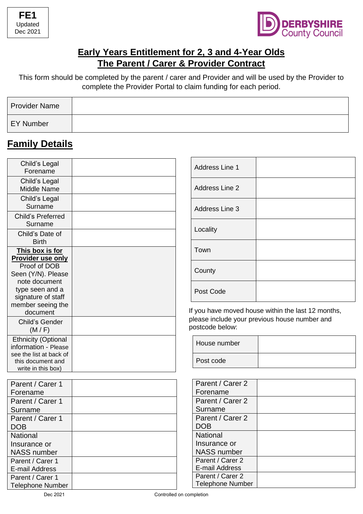



#### **Early Years Entitlement for 2, 3 and 4-Year Olds The Parent / Carer & Provider Contract**

This form should be completed by the parent / carer and Provider and will be used by the Provider to complete the Provider Portal to claim funding for each period.

| <b>Provider Name</b> |  |
|----------------------|--|
| <b>EY Number</b>     |  |

### **Family Details**

| Child's Legal<br>Forename                                                                                                                                                    |  |
|------------------------------------------------------------------------------------------------------------------------------------------------------------------------------|--|
| Child's Legal<br><b>Middle Name</b>                                                                                                                                          |  |
| Child's Legal<br>Surname                                                                                                                                                     |  |
| Child's Preferred<br>Surname                                                                                                                                                 |  |
| Child's Date of<br><b>Birth</b>                                                                                                                                              |  |
| This box is for<br><b>Provider use only</b><br>Proof of DOB<br>Seen (Y/N). Please<br>note document<br>type seen and a<br>signature of staff<br>member seeing the<br>document |  |
| Child's Gender<br>(M/F)                                                                                                                                                      |  |
| <b>Ethnicity (Optional</b><br>information - Please<br>see the list at back of<br>this document and<br>write in this box)                                                     |  |

| 366 UIG IISLALDACK OI |  |
|-----------------------|--|
| this document and     |  |
| write in this box)    |  |
|                       |  |
| Parent / Carer 1      |  |
| Forename              |  |
| Parent / Carer 1      |  |
| Surname               |  |
| Parent / Carer 1      |  |
| <b>DOB</b>            |  |
| <b>National</b>       |  |
| Insurance or          |  |
| <b>NASS number</b>    |  |
| Parent / Carer 1      |  |
| E-mail Address        |  |
| Parent / Carer 1      |  |

| Address Line 1        |  |
|-----------------------|--|
| <b>Address Line 2</b> |  |
| Address Line 3        |  |
| Locality              |  |
| Town                  |  |
| County                |  |
| Post Code             |  |

 If you have moved house within the last 12 months, please include your previous house number and postcode below:

| House number |  |
|--------------|--|
| Post code    |  |

| Parent / Carer 2        |  |
|-------------------------|--|
| Forename                |  |
| Parent / Carer 2        |  |
| Surname                 |  |
| Parent / Carer 2        |  |
| <b>DOB</b>              |  |
| National                |  |
| Insurance or            |  |
| <b>NASS number</b>      |  |
| Parent / Carer 2        |  |
| E-mail Address          |  |
| Parent / Carer 2        |  |
| <b>Telephone Number</b> |  |

Telephone Number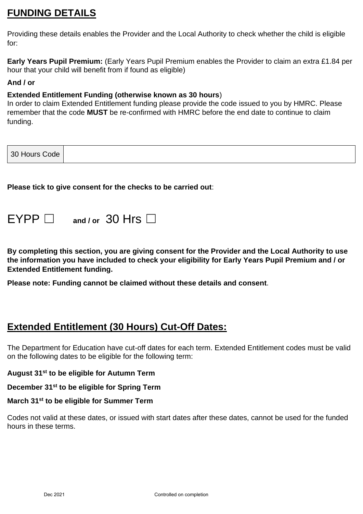## **FUNDING DETAILS**

Providing these details enables the Provider and the Local Authority to check whether the child is eligible for:

**Early Years Pupil Premium:** (Early Years Pupil Premium enables the Provider to claim an extra £1.84 per hour that your child will benefit from if found as eligible)

#### **And / or**

#### **Extended Entitlement Funding (otherwise known as 30 hours**)

In order to claim Extended Entitlement funding please provide the code issued to you by HMRC. Please remember that the code **MUST** be re-confirmed with HMRC before the end date to continue to claim funding.

| 30 Hours Code |
|---------------|
|---------------|

**Please tick to give consent for the checks to be carried out**:

| $EYPP \Box$ and / or 30 Hrs $\Box$ |  |  |  |  |
|------------------------------------|--|--|--|--|
|------------------------------------|--|--|--|--|

**By completing this section, you are giving consent for the Provider and the Local Authority to use the information you have included to check your eligibility for Early Years Pupil Premium and / or Extended Entitlement funding.** 

**Please note: Funding cannot be claimed without these details and consent**.

### **Extended Entitlement (30 Hours) Cut-Off Dates:**

The Department for Education have cut-off dates for each term. Extended Entitlement codes must be valid on the following dates to be eligible for the following term:

**August 31st to be eligible for Autumn Term**

**December 31st to be eligible for Spring Term**

#### **March 31st to be eligible for Summer Term**

Codes not valid at these dates, or issued with start dates after these dates, cannot be used for the funded hours in these terms.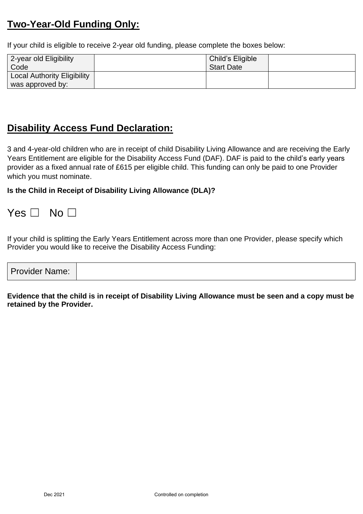## **Two-Year-Old Funding Only:**

If your child is eligible to receive 2-year old funding, please complete the boxes below:

| 2-year old Eligibility             | Child's Eligible  |  |
|------------------------------------|-------------------|--|
| Code                               | <b>Start Date</b> |  |
| <b>Local Authority Eligibility</b> |                   |  |
| was approved by:                   |                   |  |

### **Disability Access Fund Declaration:**

3 and 4-year-old children who are in receipt of child Disability Living Allowance and are receiving the Early Years Entitlement are eligible for the Disability Access Fund (DAF). DAF is paid to the child's early years provider as a fixed annual rate of £615 per eligible child. This funding can only be paid to one Provider which you must nominate.

**Is the Child in Receipt of Disability Living Allowance (DLA)?** 

Yes □ No □

If your child is splitting the Early Years Entitlement across more than one Provider, please specify which Provider you would like to receive the Disability Access Funding:

| <b>Provider Name:</b> |  |
|-----------------------|--|
|-----------------------|--|

**Evidence that the child is in receipt of Disability Living Allowance must be seen and a copy must be retained by the Provider.**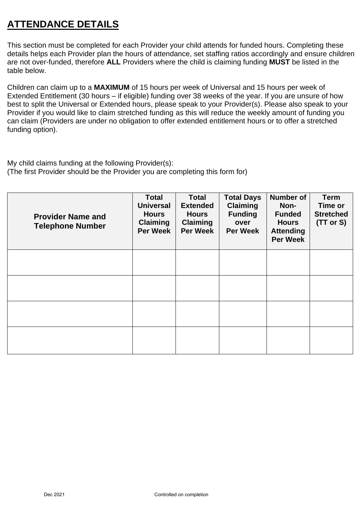## **ATTENDANCE DETAILS**

This section must be completed for each Provider your child attends for funded hours. Completing these details helps each Provider plan the hours of attendance, set staffing ratios accordingly and ensure children are not over-funded, therefore **ALL** Providers where the child is claiming funding **MUST** be listed in the table below.

Children can claim up to a **MAXIMUM** of 15 hours per week of Universal and 15 hours per week of Extended Entitlement (30 hours – if eligible) funding over 38 weeks of the year. If you are unsure of how best to split the Universal or Extended hours, please speak to your Provider(s). Please also speak to your Provider if you would like to claim stretched funding as this will reduce the weekly amount of funding you can claim (Providers are under no obligation to offer extended entitlement hours or to offer a stretched funding option).

My child claims funding at the following Provider(s): (The first Provider should be the Provider you are completing this form for)

| <b>Provider Name and</b><br><b>Telephone Number</b> | <b>Total</b><br><b>Universal</b><br><b>Hours</b><br><b>Claiming</b><br><b>Per Week</b> | <b>Total</b><br><b>Extended</b><br><b>Hours</b><br><b>Claiming</b><br><b>Per Week</b> | <b>Total Days</b><br><b>Claiming</b><br><b>Funding</b><br>over<br><b>Per Week</b> | <b>Number of</b><br>Non-<br><b>Funded</b><br><b>Hours</b><br><b>Attending</b><br><b>Per Week</b> | <b>Term</b><br>Time or<br><b>Stretched</b><br>(TT or S) |
|-----------------------------------------------------|----------------------------------------------------------------------------------------|---------------------------------------------------------------------------------------|-----------------------------------------------------------------------------------|--------------------------------------------------------------------------------------------------|---------------------------------------------------------|
|                                                     |                                                                                        |                                                                                       |                                                                                   |                                                                                                  |                                                         |
|                                                     |                                                                                        |                                                                                       |                                                                                   |                                                                                                  |                                                         |
|                                                     |                                                                                        |                                                                                       |                                                                                   |                                                                                                  |                                                         |
|                                                     |                                                                                        |                                                                                       |                                                                                   |                                                                                                  |                                                         |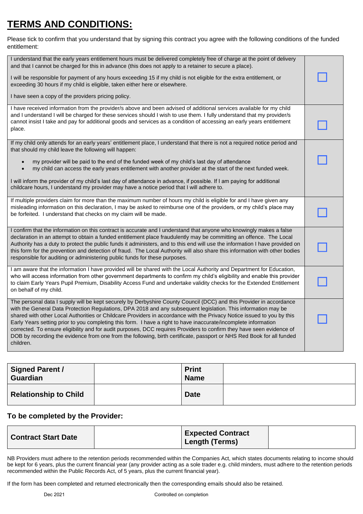# **TERMS AND CONDITIONS:**

Please tick to confirm that you understand that by signing this contract you agree with the following conditions of the funded entitlement:

| I understand that the early years entitlement hours must be delivered completely free of charge at the point of delivery<br>and that I cannot be charged for this in advance (this does not apply to a retainer to secure a place).<br>I will be responsible for payment of any hours exceeding 15 if my child is not eligible for the extra entitlement, or<br>exceeding 30 hours if my child is eligible, taken either here or elsewhere.<br>I have seen a copy of the providers pricing policy.                                                                                                                                                                                                                                                |  |
|---------------------------------------------------------------------------------------------------------------------------------------------------------------------------------------------------------------------------------------------------------------------------------------------------------------------------------------------------------------------------------------------------------------------------------------------------------------------------------------------------------------------------------------------------------------------------------------------------------------------------------------------------------------------------------------------------------------------------------------------------|--|
| I have received information from the provider/s above and been advised of additional services available for my child<br>and I understand I will be charged for these services should I wish to use them. I fully understand that my provider/s<br>cannot insist I take and pay for additional goods and services as a condition of accessing an early years entitlement<br>place.                                                                                                                                                                                                                                                                                                                                                                 |  |
| If my child only attends for an early years' entitlement place, I understand that there is not a required notice period and<br>that should my child leave the following will happen:<br>my provider will be paid to the end of the funded week of my child's last day of attendance<br>my child can access the early years entitlement with another provider at the start of the next funded week.<br>$\bullet$<br>I will inform the provider of my child's last day of attendance in advance, if possible. If I am paying for additional                                                                                                                                                                                                         |  |
| childcare hours, I understand my provider may have a notice period that I will adhere to.<br>If multiple providers claim for more than the maximum number of hours my child is eligible for and I have given any<br>misleading information on this declaration, I may be asked to reimburse one of the providers, or my child's place may                                                                                                                                                                                                                                                                                                                                                                                                         |  |
| be forfeited. I understand that checks on my claim will be made.<br>I confirm that the information on this contract is accurate and I understand that anyone who knowingly makes a false                                                                                                                                                                                                                                                                                                                                                                                                                                                                                                                                                          |  |
| declaration in an attempt to obtain a funded entitlement place fraudulently may be committing an offence. The Local<br>Authority has a duty to protect the public funds it administers, and to this end will use the information I have provided on<br>this form for the prevention and detection of fraud. The Local Authority will also share this information with other bodies<br>responsible for auditing or administering public funds for these purposes.                                                                                                                                                                                                                                                                                  |  |
| I am aware that the information I have provided will be shared with the Local Authority and Department for Education,<br>who will access information from other government departments to confirm my child's eligibility and enable this provider<br>to claim Early Years Pupil Premium, Disability Access Fund and undertake validity checks for the Extended Entitlement<br>on behalf of my child.                                                                                                                                                                                                                                                                                                                                              |  |
| The personal data I supply will be kept securely by Derbyshire County Council (DCC) and this Provider in accordance<br>with the General Data Protection Regulations, DPA 2018 and any subsequent legislation. This information may be<br>shared with other Local Authorities or Childcare Providers in accordance with the Privacy Notice issued to you by this<br>Early Years setting prior to you completing this form. I have a right to have inaccurate/incomplete information<br>corrected. To ensure eligibility and for audit purposes, DCC requires Providers to confirm they have seen evidence of<br>DOB by recording the evidence from one from the following, birth certificate, passport or NHS Red Book for all funded<br>children. |  |

| <b>Signed Parent /</b><br><b>Guardian</b> | <b>Print</b><br><b>Name</b> |  |
|-------------------------------------------|-----------------------------|--|
| <b>Relationship to Child</b>              | <b>Date</b>                 |  |

#### **To be completed by the Provider:**

| <b>Contract Start Date</b> | <b>Expected Contract</b><br><b>Length (Terms)</b> |  |
|----------------------------|---------------------------------------------------|--|
|----------------------------|---------------------------------------------------|--|

NB Providers must adhere to the retention periods recommended within the Companies Act, which states documents relating to income should be kept for 6 years, plus the current financial year (any provider acting as a sole trader e.g. child minders, must adhere to the retention periods recommended within the Public Records Act, of 5 years, plus the current financial year).

If the form has been completed and returned electronically then the corresponding emails should also be retained.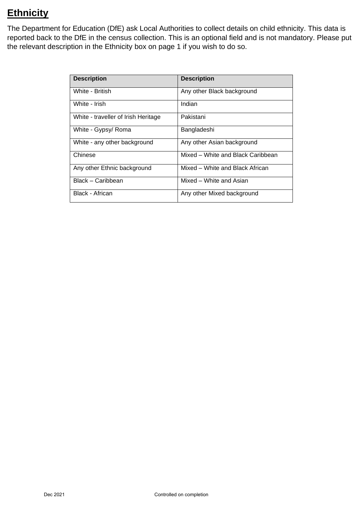# **Ethnicity**

The Department for Education (DfE) ask Local Authorities to collect details on child ethnicity. This data is reported back to the DfE in the census collection. This is an optional field and is not mandatory. Please put the relevant description in the Ethnicity box on page 1 if you wish to do so.

| <b>Description</b>                  | <b>Description</b>                |  |
|-------------------------------------|-----------------------------------|--|
| White - British                     | Any other Black background        |  |
| White - Irish                       | Indian                            |  |
| White - traveller of Irish Heritage | Pakistani                         |  |
| White - Gypsy/ Roma                 | Bangladeshi                       |  |
| White - any other background        | Any other Asian background        |  |
| Chinese                             | Mixed – White and Black Caribbean |  |
| Any other Ethnic background         | Mixed - White and Black African   |  |
| Black - Caribbean                   | Mixed – White and Asian           |  |
| Black - African                     | Any other Mixed background        |  |